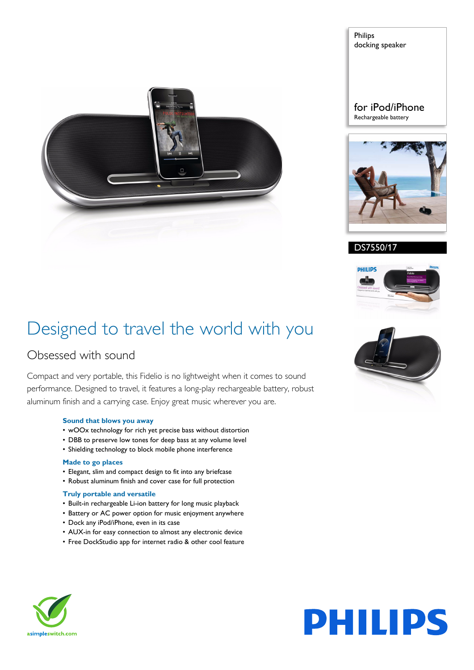

Philips docking speaker

#### for iPod/iPhone Rechargeable battery



#### DS7550/17



### Designed to travel the world with you

### Obsessed with sound

Compact and very portable, this Fidelio is no lightweight when it comes to sound performance. Designed to travel, it features a long-play rechargeable battery, robust aluminum finish and a carrying case. Enjoy great music wherever you are.

#### **Sound that blows you away**

- wOOx technology for rich yet precise bass without distortion
- DBB to preserve low tones for deep bass at any volume level
- Shielding technology to block mobile phone interference

#### **Made to go places**

- Elegant, slim and compact design to fit into any briefcase
- Robust aluminum finish and cover case for full protection

#### **Truly portable and versatile**

- Built-in rechargeable Li-ion battery for long music playback
- Battery or AC power option for music enjoyment anywhere
- Dock any iPod/iPhone, even in its case
- AUX-in for easy connection to almost any electronic device
- Free DockStudio app for internet radio & other cool feature





# **PHILIPS**